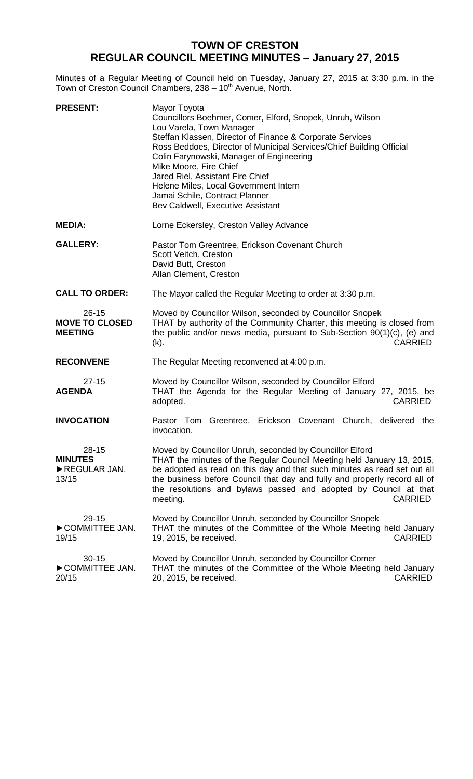## **TOWN OF CRESTON REGULAR COUNCIL MEETING MINUTES – January 27, 2015**

Minutes of a Regular Meeting of Council held on Tuesday, January 27, 2015 at 3:30 p.m. in the Town of Creston Council Chambers, 238 - 10<sup>th</sup> Avenue, North.

| <b>PRESENT:</b>                                      | Mayor Toyota<br>Councillors Boehmer, Comer, Elford, Snopek, Unruh, Wilson<br>Lou Varela, Town Manager<br>Steffan Klassen, Director of Finance & Corporate Services<br>Ross Beddoes, Director of Municipal Services/Chief Building Official<br>Colin Farynowski, Manager of Engineering<br>Mike Moore, Fire Chief<br>Jared Riel, Assistant Fire Chief<br>Helene Miles, Local Government Intern<br>Jamai Schile, Contract Planner<br>Bev Caldwell, Executive Assistant |
|------------------------------------------------------|----------------------------------------------------------------------------------------------------------------------------------------------------------------------------------------------------------------------------------------------------------------------------------------------------------------------------------------------------------------------------------------------------------------------------------------------------------------------|
| <b>MEDIA:</b>                                        | Lorne Eckersley, Creston Valley Advance                                                                                                                                                                                                                                                                                                                                                                                                                              |
| <b>GALLERY:</b>                                      | Pastor Tom Greentree, Erickson Covenant Church<br>Scott Veitch, Creston<br>David Butt, Creston<br>Allan Clement, Creston                                                                                                                                                                                                                                                                                                                                             |
| <b>CALL TO ORDER:</b>                                | The Mayor called the Regular Meeting to order at 3:30 p.m.                                                                                                                                                                                                                                                                                                                                                                                                           |
| $26 - 15$<br><b>MOVE TO CLOSED</b><br><b>MEETING</b> | Moved by Councillor Wilson, seconded by Councillor Snopek<br>THAT by authority of the Community Charter, this meeting is closed from<br>the public and/or news media, pursuant to Sub-Section 90(1)(c), (e) and<br>$(k)$ .<br>CARRIED                                                                                                                                                                                                                                |
| <b>RECONVENE</b>                                     | The Regular Meeting reconvened at 4:00 p.m.                                                                                                                                                                                                                                                                                                                                                                                                                          |
| $27 - 15$<br><b>AGENDA</b>                           | Moved by Councillor Wilson, seconded by Councillor Elford<br>THAT the Agenda for the Regular Meeting of January 27, 2015, be<br>adopted.<br><b>CARRIED</b>                                                                                                                                                                                                                                                                                                           |
| <b>INVOCATION</b>                                    | Pastor Tom Greentree, Erickson Covenant Church, delivered the<br>invocation.                                                                                                                                                                                                                                                                                                                                                                                         |
| $28 - 15$<br><b>MINUTES</b><br>REGULAR JAN.<br>13/15 | Moved by Councillor Unruh, seconded by Councillor Elford<br>THAT the minutes of the Regular Council Meeting held January 13, 2015,<br>be adopted as read on this day and that such minutes as read set out all<br>the business before Council that day and fully and properly record all of<br>the resolutions and bylaws passed and adopted by Council at that<br><b>CARRIED</b><br>meeting.                                                                        |
| 29-15<br>COMMITTEE JAN.<br>19/15                     | Moved by Councillor Unruh, seconded by Councillor Snopek<br>THAT the minutes of the Committee of the Whole Meeting held January<br><b>CARRIED</b><br>19, 2015, be received.                                                                                                                                                                                                                                                                                          |
| $30 - 15$<br>COMMITTEE JAN.<br>20/15                 | Moved by Councillor Unruh, seconded by Councillor Comer<br>THAT the minutes of the Committee of the Whole Meeting held January<br><b>CARRIED</b><br>20, 2015, be received.                                                                                                                                                                                                                                                                                           |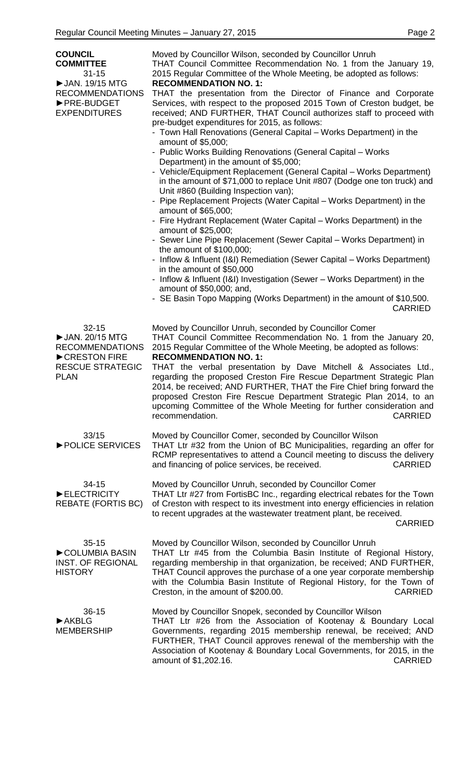| <b>COUNCIL</b><br><b>COMMITTEE</b><br>$31 - 15$<br>▶ JAN. 19/15 MTG<br><b>RECOMMENDATIONS</b><br>▶ PRE-BUDGET<br><b>EXPENDITURES</b> | Moved by Councillor Wilson, seconded by Councillor Unruh<br>THAT Council Committee Recommendation No. 1 from the January 19,<br>2015 Regular Committee of the Whole Meeting, be adopted as follows:<br><b>RECOMMENDATION NO. 1:</b><br>THAT the presentation from the Director of Finance and Corporate<br>Services, with respect to the proposed 2015 Town of Creston budget, be<br>received; AND FURTHER, THAT Council authorizes staff to proceed with<br>pre-budget expenditures for 2015, as follows:<br>- Town Hall Renovations (General Capital – Works Department) in the<br>amount of \$5,000;<br>- Public Works Building Renovations (General Capital - Works<br>Department) in the amount of \$5,000;<br>- Vehicle/Equipment Replacement (General Capital - Works Department)<br>in the amount of \$71,000 to replace Unit #807 (Dodge one ton truck) and<br>Unit #860 (Building Inspection van);<br>- Pipe Replacement Projects (Water Capital - Works Department) in the<br>amount of \$65,000;<br>- Fire Hydrant Replacement (Water Capital – Works Department) in the<br>amount of \$25,000;<br>- Sewer Line Pipe Replacement (Sewer Capital - Works Department) in<br>the amount of \$100,000;<br>- Inflow & Influent (I&I) Remediation (Sewer Capital – Works Department)<br>in the amount of \$50,000<br>- Inflow & Influent (I&I) Investigation (Sewer – Works Department) in the<br>amount of \$50,000; and,<br>- SE Basin Topo Mapping (Works Department) in the amount of \$10,500.<br><b>CARRIED</b> |
|--------------------------------------------------------------------------------------------------------------------------------------|-----------------------------------------------------------------------------------------------------------------------------------------------------------------------------------------------------------------------------------------------------------------------------------------------------------------------------------------------------------------------------------------------------------------------------------------------------------------------------------------------------------------------------------------------------------------------------------------------------------------------------------------------------------------------------------------------------------------------------------------------------------------------------------------------------------------------------------------------------------------------------------------------------------------------------------------------------------------------------------------------------------------------------------------------------------------------------------------------------------------------------------------------------------------------------------------------------------------------------------------------------------------------------------------------------------------------------------------------------------------------------------------------------------------------------------------------------------------------------------------------------------------------------|
| $32 - 15$<br>▶ JAN. 20/15 MTG<br><b>RECOMMENDATIONS</b><br>CRESTON FIRE<br><b>RESCUE STRATEGIC</b><br><b>PLAN</b>                    | Moved by Councillor Unruh, seconded by Councillor Comer<br>THAT Council Committee Recommendation No. 1 from the January 20,<br>2015 Regular Committee of the Whole Meeting, be adopted as follows:<br><b>RECOMMENDATION NO. 1:</b><br>THAT the verbal presentation by Dave Mitchell & Associates Ltd.,<br>regarding the proposed Creston Fire Rescue Department Strategic Plan<br>2014, be received; AND FURTHER, THAT the Fire Chief bring forward the<br>proposed Creston Fire Rescue Department Strategic Plan 2014, to an<br>upcoming Committee of the Whole Meeting for further consideration and<br>recommendation.<br><b>CARRIED</b>                                                                                                                                                                                                                                                                                                                                                                                                                                                                                                                                                                                                                                                                                                                                                                                                                                                                                 |
| 33/15<br>▶ POLICE SERVICES                                                                                                           | Moved by Councillor Comer, seconded by Councillor Wilson<br>THAT Ltr #32 from the Union of BC Municipalities, regarding an offer for<br>RCMP representatives to attend a Council meeting to discuss the delivery<br>and financing of police services, be received.<br><b>CARRIED</b>                                                                                                                                                                                                                                                                                                                                                                                                                                                                                                                                                                                                                                                                                                                                                                                                                                                                                                                                                                                                                                                                                                                                                                                                                                        |
| 34-15<br>ELECTRICITY<br><b>REBATE (FORTIS BC)</b>                                                                                    | Moved by Councillor Unruh, seconded by Councillor Comer<br>THAT Ltr #27 from FortisBC Inc., regarding electrical rebates for the Town<br>of Creston with respect to its investment into energy efficiencies in relation<br>to recent upgrades at the wastewater treatment plant, be received.<br><b>CARRIED</b>                                                                                                                                                                                                                                                                                                                                                                                                                                                                                                                                                                                                                                                                                                                                                                                                                                                                                                                                                                                                                                                                                                                                                                                                             |
| $35 - 15$<br>COLUMBIA BASIN<br><b>INST. OF REGIONAL</b><br><b>HISTORY</b>                                                            | Moved by Councillor Wilson, seconded by Councillor Unruh<br>THAT Ltr #45 from the Columbia Basin Institute of Regional History,<br>regarding membership in that organization, be received; AND FURTHER,<br>THAT Council approves the purchase of a one year corporate membership<br>with the Columbia Basin Institute of Regional History, for the Town of<br><b>CARRIED</b><br>Creston, in the amount of \$200.00.                                                                                                                                                                                                                                                                                                                                                                                                                                                                                                                                                                                                                                                                                                                                                                                                                                                                                                                                                                                                                                                                                                         |
| $36 - 15$<br>$\blacktriangleright$ AKBLG<br><b>MEMBERSHIP</b>                                                                        | Moved by Councillor Snopek, seconded by Councillor Wilson<br>THAT Ltr #26 from the Association of Kootenay & Boundary Local<br>Governments, regarding 2015 membership renewal, be received; AND<br>FURTHER, THAT Council approves renewal of the membership with the<br>Association of Kootenay & Boundary Local Governments, for 2015, in the<br>amount of \$1,202.16.<br><b>CARRIED</b>                                                                                                                                                                                                                                                                                                                                                                                                                                                                                                                                                                                                                                                                                                                                                                                                                                                                                                                                                                                                                                                                                                                                   |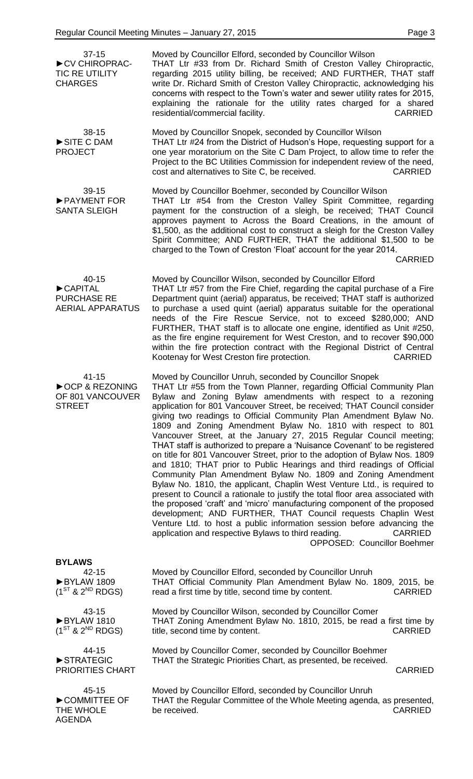| $37 - 15$<br>CV CHIROPRAC-<br><b>TIC RE UTILITY</b><br><b>CHARGES</b> | Moved by Councillor Elford, seconded by Councillor Wilson<br>THAT Ltr #33 from Dr. Richard Smith of Creston Valley Chiropractic,<br>regarding 2015 utility billing, be received; AND FURTHER, THAT staff<br>write Dr. Richard Smith of Creston Valley Chiropractic, acknowledging his<br>concerns with respect to the Town's water and sewer utility rates for 2015,<br>explaining the rationale for the utility rates charged for a shared<br>residential/commercial facility.<br><b>CARRIED</b>                                                                                                                                                                                                                                                                                                                                                                                                                                                                                                                                                                                                                                                                                                                                                                                            |
|-----------------------------------------------------------------------|----------------------------------------------------------------------------------------------------------------------------------------------------------------------------------------------------------------------------------------------------------------------------------------------------------------------------------------------------------------------------------------------------------------------------------------------------------------------------------------------------------------------------------------------------------------------------------------------------------------------------------------------------------------------------------------------------------------------------------------------------------------------------------------------------------------------------------------------------------------------------------------------------------------------------------------------------------------------------------------------------------------------------------------------------------------------------------------------------------------------------------------------------------------------------------------------------------------------------------------------------------------------------------------------|
| $38 - 15$<br>SITE C DAM<br><b>PROJECT</b>                             | Moved by Councillor Snopek, seconded by Councillor Wilson<br>THAT Ltr #24 from the District of Hudson's Hope, requesting support for a<br>one year moratorium on the Site C Dam Project, to allow time to refer the<br>Project to the BC Utilities Commission for independent review of the need,<br>cost and alternatives to Site C, be received.<br><b>CARRIED</b>                                                                                                                                                                                                                                                                                                                                                                                                                                                                                                                                                                                                                                                                                                                                                                                                                                                                                                                         |
| 39-15<br>PAYMENT FOR<br><b>SANTA SLEIGH</b>                           | Moved by Councillor Boehmer, seconded by Councillor Wilson<br>THAT Ltr #54 from the Creston Valley Spirit Committee, regarding<br>payment for the construction of a sleigh, be received; THAT Council<br>approves payment to Across the Board Creations, in the amount of<br>\$1,500, as the additional cost to construct a sleigh for the Creston Valley<br>Spirit Committee; AND FURTHER, THAT the additional \$1,500 to be<br>charged to the Town of Creston 'Float' account for the year 2014.<br><b>CARRIED</b>                                                                                                                                                                                                                                                                                                                                                                                                                                                                                                                                                                                                                                                                                                                                                                         |
| 40-15<br>CAPITAL<br><b>PURCHASE RE</b><br><b>AERIAL APPARATUS</b>     | Moved by Councillor Wilson, seconded by Councillor Elford<br>THAT Ltr #57 from the Fire Chief, regarding the capital purchase of a Fire<br>Department quint (aerial) apparatus, be received; THAT staff is authorized<br>to purchase a used quint (aerial) apparatus suitable for the operational<br>needs of the Fire Rescue Service, not to exceed \$280,000; AND<br>FURTHER, THAT staff is to allocate one engine, identified as Unit #250,<br>as the fire engine requirement for West Creston, and to recover \$90,000<br>within the fire protection contract with the Regional District of Central<br><b>CARRIED</b><br>Kootenay for West Creston fire protection.                                                                                                                                                                                                                                                                                                                                                                                                                                                                                                                                                                                                                      |
| $41 - 15$<br>▶OCP & REZONING<br>OF 801 VANCOUVER<br><b>STREET</b>     | Moved by Councillor Unruh, seconded by Councillor Snopek<br>THAT Ltr #55 from the Town Planner, regarding Official Community Plan<br>Bylaw and Zoning Bylaw amendments with respect to a rezoning<br>application for 801 Vancouver Street, be received; THAT Council consider<br>giving two readings to Official Community Plan Amendment Bylaw No.<br>1809 and Zoning Amendment Bylaw No. 1810 with respect to 801<br>Vancouver Street, at the January 27, 2015 Regular Council meeting;<br>THAT staff is authorized to prepare a 'Nuisance Covenant' to be registered<br>on title for 801 Vancouver Street, prior to the adoption of Bylaw Nos. 1809<br>and 1810; THAT prior to Public Hearings and third readings of Official<br>Community Plan Amendment Bylaw No. 1809 and Zoning Amendment<br>Bylaw No. 1810, the applicant, Chaplin West Venture Ltd., is required to<br>present to Council a rationale to justify the total floor area associated with<br>the proposed 'craft' and 'micro' manufacturing component of the proposed<br>development; AND FURTHER, THAT Council requests Chaplin West<br>Venture Ltd. to host a public information session before advancing the<br>application and respective Bylaws to third reading.<br><b>CARRIED</b><br>OPPOSED: Councillor Boehmer |
| <b>BYLAWS</b>                                                         |                                                                                                                                                                                                                                                                                                                                                                                                                                                                                                                                                                                                                                                                                                                                                                                                                                                                                                                                                                                                                                                                                                                                                                                                                                                                                              |
| 42-15<br>BYLAW 1809<br>$(1^{ST}$ & $2^{ND}$ RDGS)                     | Moved by Councillor Elford, seconded by Councillor Unruh<br>THAT Official Community Plan Amendment Bylaw No. 1809, 2015, be<br>read a first time by title, second time by content.<br><b>CARRIED</b>                                                                                                                                                                                                                                                                                                                                                                                                                                                                                                                                                                                                                                                                                                                                                                                                                                                                                                                                                                                                                                                                                         |
| 43-15<br>BYLAW 1810<br>$(1^{ST}$ & $2^{ND}$ RDGS)                     | Moved by Councillor Wilson, seconded by Councillor Comer<br>THAT Zoning Amendment Bylaw No. 1810, 2015, be read a first time by<br>title, second time by content.<br><b>CARRIED</b>                                                                                                                                                                                                                                                                                                                                                                                                                                                                                                                                                                                                                                                                                                                                                                                                                                                                                                                                                                                                                                                                                                          |
| 44-15<br>STRATEGIC<br><b>PRIORITIES CHART</b>                         | Moved by Councillor Comer, seconded by Councillor Boehmer<br>THAT the Strategic Priorities Chart, as presented, be received.<br><b>CARRIED</b>                                                                                                                                                                                                                                                                                                                                                                                                                                                                                                                                                                                                                                                                                                                                                                                                                                                                                                                                                                                                                                                                                                                                               |

45-15 ►COMMITTEE OF THE WHOLE AGENDA Moved by Councillor Elford, seconded by Councillor Unruh THAT the Regular Committee of the Whole Meeting agenda, as presented, be received. CARRIED